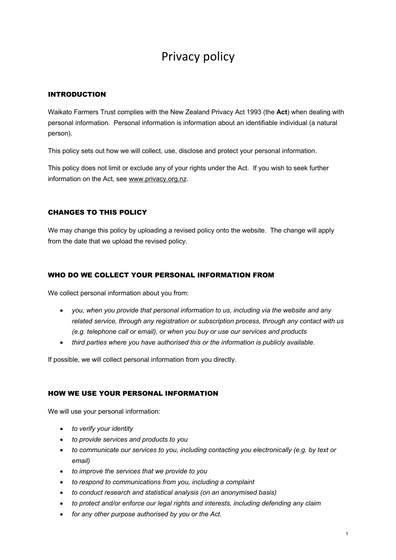# Privacy policy

## INTRODUCTION

Waikato Farmers Trust complies with the New Zealand Privacy Act 1993 (the **Act**) when dealing with personal information. Personal information is information about an identifiable individual (a natural person).

This policy sets out how we will collect, use, disclose and protect your personal information.

This policy does not limit or exclude any of your rights under the Act. If you wish to seek further information on the Act, see www.privacy.org.nz.

## CHANGES TO THIS POLICY

We may change this policy by uploading a revised policy onto the website. The change will apply from the date that we upload the revised policy.

## WHO DO WE COLLECT YOUR PERSONAL INFORMATION FROM

We collect personal information about you from:

- *you, when you provide that personal information to us, including via the website and any related service, through any registration or subscription process, through any contact with us (e.g. telephone call or email), or when you buy or use our services and products*
- *third parties where you have authorised this or the information is publicly available.*

If possible, we will collect personal information from you directly.

## HOW WE USE YOUR PERSONAL INFORMATION

We will use your personal information:

- *to verify your identity*
- *to provide services and products to you*
- *to communicate our services to you, including contacting you electronically (e.g. by text or email)*
- *to improve the services that we provide to you*
- *to respond to communications from you, including a complaint*
- *to conduct research and statistical analysis (on an anonymised basis)*
- *to protect and/or enforce our legal rights and interests, including defending any claim*
- *for any other purpose authorised by you or the Act.*